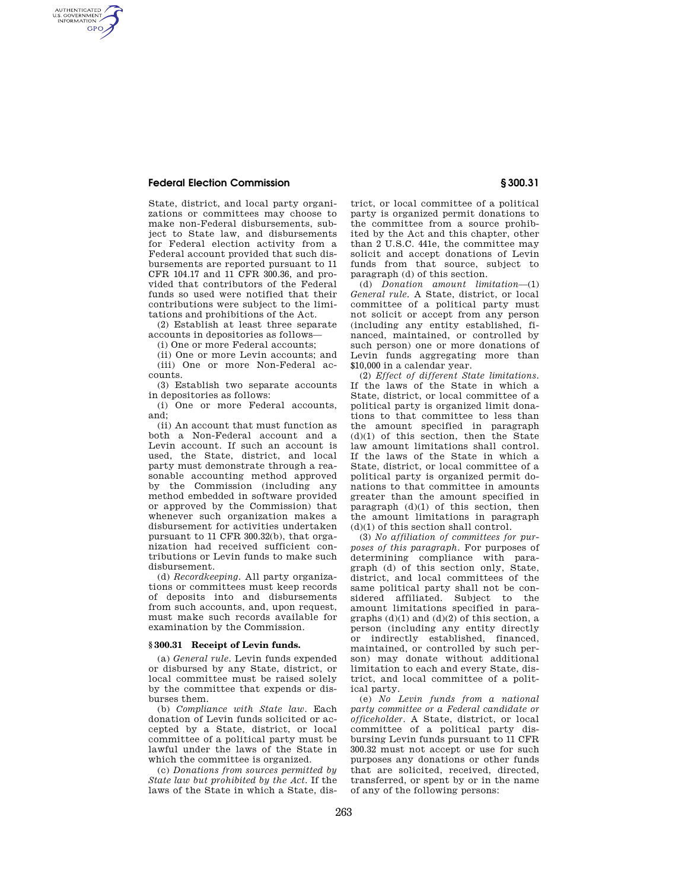# **Federal Election Commission § 300.31**

AUTHENTICATED<br>U.S. GOVERNMENT<br>INFORMATION **GPO** 

> State, district, and local party organizations or committees may choose to make non-Federal disbursements, subject to State law, and disbursements for Federal election activity from a Federal account provided that such disbursements are reported pursuant to 11 CFR 104.17 and 11 CFR 300.36, and provided that contributors of the Federal funds so used were notified that their contributions were subject to the limitations and prohibitions of the Act.

> (2) Establish at least three separate accounts in depositories as follows—

(i) One or more Federal accounts;

(ii) One or more Levin accounts; and (iii) One or more Non-Federal accounts.

(3) Establish two separate accounts in depositories as follows:

(i) One or more Federal accounts, and;

(ii) An account that must function as both a Non-Federal account and a Levin account. If such an account is used, the State, district, and local party must demonstrate through a reasonable accounting method approved by the Commission (including any method embedded in software provided or approved by the Commission) that whenever such organization makes a disbursement for activities undertaken pursuant to 11 CFR 300.32(b), that organization had received sufficient contributions or Levin funds to make such disbursement.

(d) *Recordkeeping.* All party organizations or committees must keep records of deposits into and disbursements from such accounts, and, upon request, must make such records available for examination by the Commission.

### **§ 300.31 Receipt of Levin funds.**

(a) *General rule.* Levin funds expended or disbursed by any State, district, or local committee must be raised solely by the committee that expends or disburses them.

(b) *Compliance with State law.* Each donation of Levin funds solicited or accepted by a State, district, or local committee of a political party must be lawful under the laws of the State in which the committee is organized.

(c) *Donations from sources permitted by State law but prohibited by the Act.* If the laws of the State in which a State, district, or local committee of a political party is organized permit donations to the committee from a source prohibited by the Act and this chapter, other than 2 U.S.C. 441e, the committee may solicit and accept donations of Levin funds from that source, subject to paragraph (d) of this section.

(d) *Donation amount limitation*—(1) *General rule.* A State, district, or local committee of a political party must not solicit or accept from any person (including any entity established, financed, maintained, or controlled by such person) one or more donations of Levin funds aggregating more than \$10,000 in a calendar year.

(2) *Effect of different State limitations.*  If the laws of the State in which a State, district, or local committee of a political party is organized limit donations to that committee to less than the amount specified in paragraph  $(d)(1)$  of this section, then the State law amount limitations shall control. If the laws of the State in which a State, district, or local committee of a political party is organized permit donations to that committee in amounts greater than the amount specified in paragraph  $(d)(1)$  of this section, then the amount limitations in paragraph (d)(1) of this section shall control.

(3) *No affiliation of committees for purposes of this paragraph.* For purposes of determining compliance with paragraph (d) of this section only, State, district, and local committees of the same political party shall not be considered affiliated. Subject to the amount limitations specified in paragraphs  $(d)(1)$  and  $(d)(2)$  of this section, a person (including any entity directly or indirectly established, financed, maintained, or controlled by such person) may donate without additional limitation to each and every State, district, and local committee of a political party.

(e) *No Levin funds from a national party committee or a Federal candidate or officeholder.* A State, district, or local committee of a political party disbursing Levin funds pursuant to 11 CFR 300.32 must not accept or use for such purposes any donations or other funds that are solicited, received, directed, transferred, or spent by or in the name of any of the following persons: